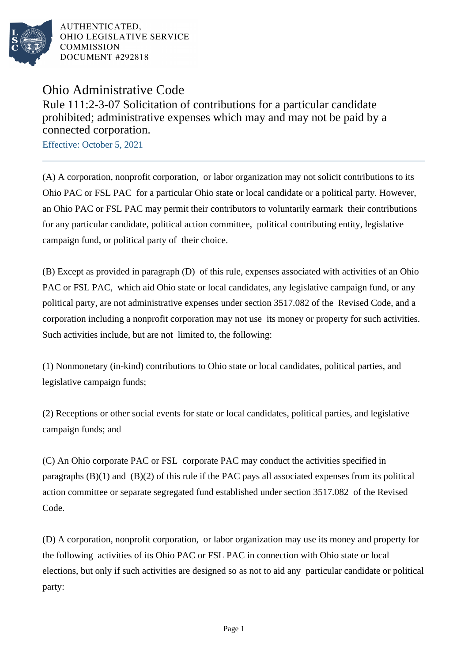

AUTHENTICATED. OHIO LEGISLATIVE SERVICE **COMMISSION** DOCUMENT #292818

## Ohio Administrative Code

Rule 111:2-3-07 Solicitation of contributions for a particular candidate prohibited; administrative expenses which may and may not be paid by a connected corporation.

Effective: October 5, 2021

(A) A corporation, nonprofit corporation, or labor organization may not solicit contributions to its Ohio PAC or FSL PAC for a particular Ohio state or local candidate or a political party. However, an Ohio PAC or FSL PAC may permit their contributors to voluntarily earmark their contributions for any particular candidate, political action committee, political contributing entity, legislative campaign fund, or political party of their choice.

(B) Except as provided in paragraph (D) of this rule, expenses associated with activities of an Ohio PAC or FSL PAC, which aid Ohio state or local candidates, any legislative campaign fund, or any political party, are not administrative expenses under section 3517.082 of the Revised Code, and a corporation including a nonprofit corporation may not use its money or property for such activities. Such activities include, but are not limited to, the following:

(1) Nonmonetary (in-kind) contributions to Ohio state or local candidates, political parties, and legislative campaign funds;

(2) Receptions or other social events for state or local candidates, political parties, and legislative campaign funds; and

(C) An Ohio corporate PAC or FSL corporate PAC may conduct the activities specified in paragraphs (B)(1) and (B)(2) of this rule if the PAC pays all associated expenses from its political action committee or separate segregated fund established under section 3517.082 of the Revised Code.

(D) A corporation, nonprofit corporation, or labor organization may use its money and property for the following activities of its Ohio PAC or FSL PAC in connection with Ohio state or local elections, but only if such activities are designed so as not to aid any particular candidate or political party: